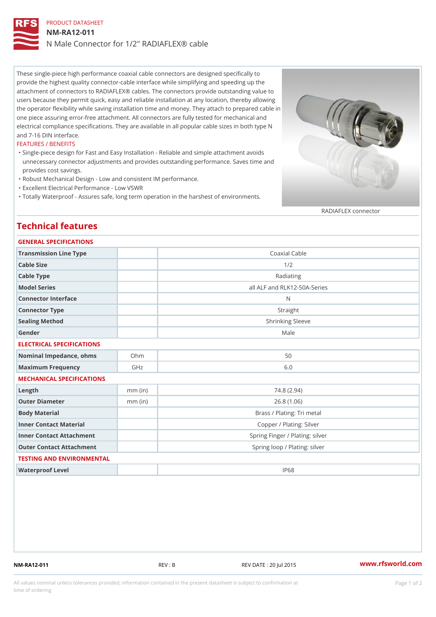# PRODUCT DATASHEET NM-RA12-011 N Male Connector for 1/2" RADIAFLEX® cable

These single-piece high performance coaxial cable connectors are designed specifically to provide the highest quality connector-cable interface while simplifying and speeding up the attachment of connectors to RADIAFLEX® cables. The connectors provide outstanding value to users because they permit quick, easy and reliable installation at any location, thereby allowing the operator flexibility while saving installation time and money. They attach to prepared cable in one piece assuring error-free attachment. All connectors are fully tested for mechanical and electrical compliance specifications. They are available in all popular cable sizes in both type N and 7-16 DIN interface.

### FEATURES / BENEFITS

- Single-piece design for Fast and Easy Installation Reliable and simple attachment avoids " unnecessary connector adjustments and provides outstanding performance. Saves time and provides cost savings.
- "Robust Mechanical Design Low and consistent IM performance.
- "Excellent Electrical Performance Low VSWR
- "Totally Waterproof Assures safe, long term operation in the harshest of environments.

#### RADIAFLEX connector

## Technical features

| GENERAL SPECIFICATIONS    |                                                                                                                |
|---------------------------|----------------------------------------------------------------------------------------------------------------|
|                           | Coaxial Cable                                                                                                  |
|                           | 1/2                                                                                                            |
|                           | Radiating                                                                                                      |
|                           | all ALF and RLK12-50A-Series                                                                                   |
|                           | N                                                                                                              |
|                           | Straight                                                                                                       |
|                           | Shrinking Sleeve                                                                                               |
|                           | Male                                                                                                           |
| ELECTRICAL SPECIFICATIONS |                                                                                                                |
|                           | 50                                                                                                             |
| GHz                       | 6.0                                                                                                            |
| MECHANICAL SPECIFICATIONS |                                                                                                                |
| $mm$ (in)                 | 74.8(2.94)                                                                                                     |
| $mm$ (in)                 | 26.8(1.06)                                                                                                     |
|                           | Brass / Plating: Tri metal                                                                                     |
|                           | Copper / Plating: Silver                                                                                       |
|                           | Spring Finger / Plating: silver                                                                                |
|                           | Spring loop / Plating: silver                                                                                  |
| TESTING AND ENVIRONMENTAL |                                                                                                                |
|                           | IP68                                                                                                           |
|                           | Transmission Line Type<br>Nominal Impedance, ohins Ohm<br>Inner Contact Attachment<br>Outer Contact Attachment |

NM-RA12-011 REV : B REV DATE : 20 Jul 2015 [www.](https://www.rfsworld.com)rfsworld.com

All values nominal unless tolerances provided; information contained in the present datasheet is subject to Pcapgeign manation time of ordering